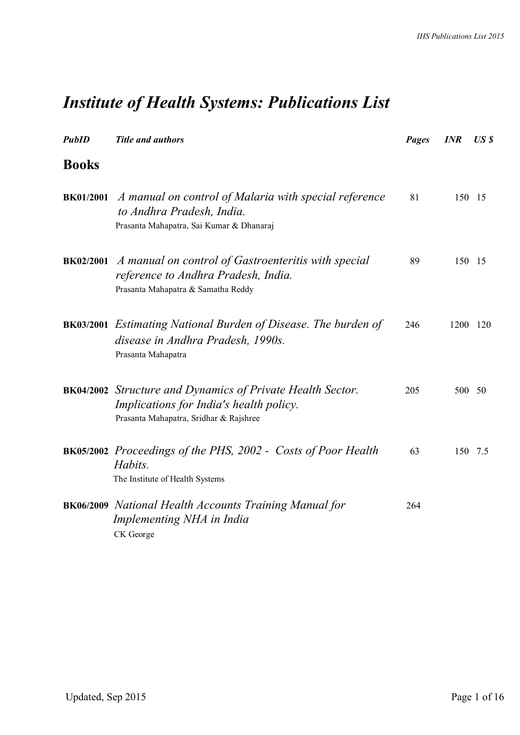# *Institute of Health Systems: Publications List*

| <b>PubID</b>     | <b>Title and authors</b>                                                                                                                               | <b>Pages</b> | <b>INR</b> | USS            |
|------------------|--------------------------------------------------------------------------------------------------------------------------------------------------------|--------------|------------|----------------|
| <b>Books</b>     |                                                                                                                                                        |              |            |                |
| <b>BK01/2001</b> | A manual on control of Malaria with special reference<br>to Andhra Pradesh, India.<br>Prasanta Mahapatra, Sai Kumar & Dhanaraj                         | 81           | 150 15     |                |
| <b>BK02/2001</b> | A manual on control of Gastroenteritis with special<br>reference to Andhra Pradesh, India.<br>Prasanta Mahapatra & Samatha Reddy                       | 89           | 150 15     |                |
|                  | <b>BK03/2001</b> Estimating National Burden of Disease. The burden of<br>disease in Andhra Pradesh, 1990s.<br>Prasanta Mahapatra                       | 246          | 1200       | <sup>120</sup> |
|                  | <b>BK04/2002</b> Structure and Dynamics of Private Health Sector.<br>Implications for India's health policy.<br>Prasanta Mahapatra, Sridhar & Rajshree | 205          | 500        | - 50           |
|                  | <b>BK05/2002</b> Proceedings of the PHS, 2002 - Costs of Poor Health<br>Habits.<br>The Institute of Health Systems                                     | 63           |            | 150 7.5        |
|                  | <b>BK06/2009</b> National Health Accounts Training Manual for<br>Implementing NHA in India<br>CK George                                                | 264          |            |                |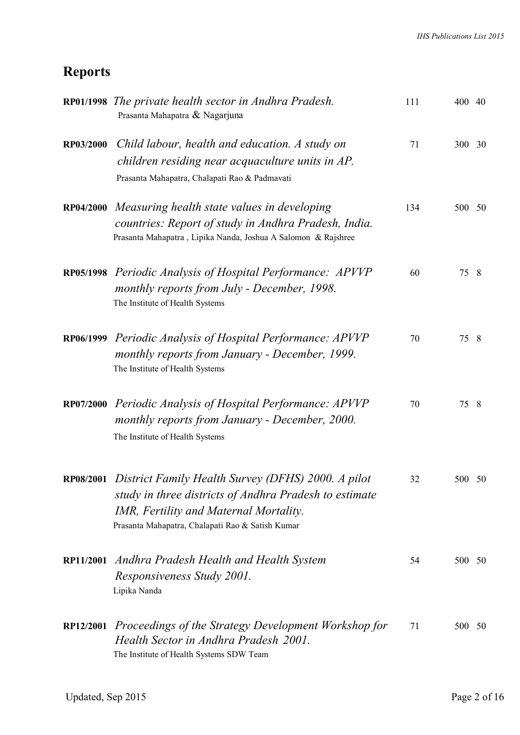### **Reports**

|           | RP01/1998 The private health sector in Andhra Pradesh.<br>Prasanta Mahapatra & Nagarjuna                                                                                                                   | 111 | 400 40 |    |
|-----------|------------------------------------------------------------------------------------------------------------------------------------------------------------------------------------------------------------|-----|--------|----|
| RP03/2000 | Child labour, health and education. A study on<br>children residing near acquaculture units in AP.<br>Prasanta Mahapatra, Chalapati Rao & Padmavati                                                        | 71  | 300 30 |    |
| RP04/2000 | Measuring health state values in developing<br>countries: Report of study in Andhra Pradesh, India.<br>Prasanta Mahapatra, Lipika Nanda, Joshua A Salomon & Rajshree                                       | 134 | 500 50 |    |
| RP05/1998 | Periodic Analysis of Hospital Performance: APVVP<br>monthly reports from July - December, 1998.<br>The Institute of Health Systems                                                                         | 60  | 75     | 8  |
|           | RP06/1999 Periodic Analysis of Hospital Performance: APVVP<br>monthly reports from January - December, 1999.<br>The Institute of Health Systems                                                            | 70  | 75     | 8  |
| RP07/2000 | Periodic Analysis of Hospital Performance: APVVP<br>monthly reports from January - December, 2000.<br>The Institute of Health Systems                                                                      | 70  | 75     | -8 |
| RP08/2001 | District Family Health Survey (DFHS) 2000. A pilot<br>study in three districts of Andhra Pradesh to estimate<br>IMR, Fertility and Maternal Mortality.<br>Prasanta Mahapatra, Chalapati Rao & Satish Kumar | 32  | 500 50 |    |
| RP11/2001 | Andhra Pradesh Health and Health System<br>Responsiveness Study 2001.<br>Lipika Nanda                                                                                                                      | 54  | 500 50 |    |
| RP12/2001 | Proceedings of the Strategy Development Workshop for<br>Health Sector in Andhra Pradesh 2001.<br>The Institute of Health Systems SDW Team                                                                  | 71  | 500 50 |    |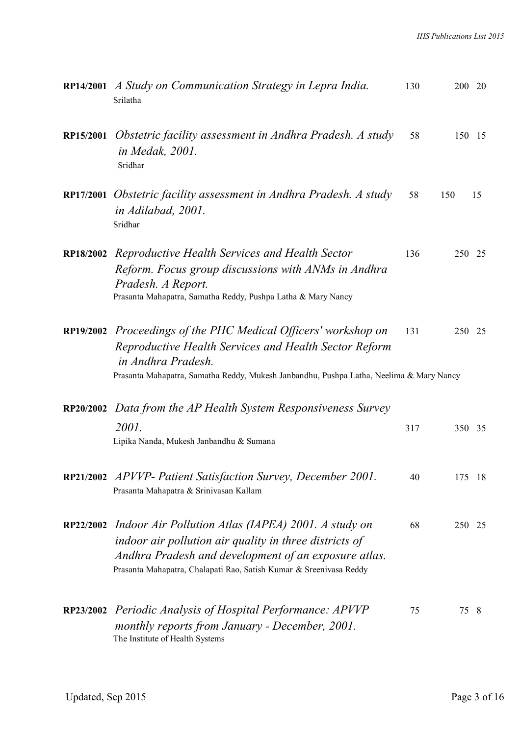|                  | RP14/2001 A Study on Communication Strategy in Lepra India.<br>Srilatha                                                                                                                                                                     | 130 | 200 20    |  |
|------------------|---------------------------------------------------------------------------------------------------------------------------------------------------------------------------------------------------------------------------------------------|-----|-----------|--|
| RP15/2001        | Obstetric facility assessment in Andhra Pradesh. A study<br><i>in Medak, 2001.</i><br>Sridhar                                                                                                                                               | 58  | 150 15    |  |
|                  | RP17/2001 Obstetric facility assessment in Andhra Pradesh. A study<br>in Adilabad, 2001.<br>Sridhar                                                                                                                                         | 58  | 150<br>15 |  |
| <b>RP18/2002</b> | Reproductive Health Services and Health Sector<br>Reform. Focus group discussions with ANMs in Andhra<br>Pradesh. A Report.<br>Prasanta Mahapatra, Samatha Reddy, Pushpa Latha & Mary Nancy                                                 | 136 | 250 25    |  |
|                  | RP19/2002 Proceedings of the PHC Medical Officers' workshop on<br>Reproductive Health Services and Health Sector Reform<br>in Andhra Pradesh.<br>Prasanta Mahapatra, Samatha Reddy, Mukesh Janbandhu, Pushpa Latha, Neelima & Mary Nancy    | 131 | 250 25    |  |
| RP20/2002        | Data from the AP Health System Responsiveness Survey<br>2001.<br>Lipika Nanda, Mukesh Janbandhu & Sumana                                                                                                                                    | 317 | 350 35    |  |
|                  | RP21/2002 APVVP- Patient Satisfaction Survey, December 2001.<br>Prasanta Mahapatra & Srinivasan Kallam                                                                                                                                      | 40  | 175<br>18 |  |
| RP22/2002        | Indoor Air Pollution Atlas (IAPEA) 2001. A study on<br>indoor air pollution air quality in three districts of<br>Andhra Pradesh and development of an exposure atlas.<br>Prasanta Mahapatra, Chalapati Rao, Satish Kumar & Sreenivasa Reddy | 68  | 250 25    |  |
|                  | RP23/2002 Periodic Analysis of Hospital Performance: APVVP<br>monthly reports from January - December, 2001.<br>The Institute of Health Systems                                                                                             | 75  | 75<br>8   |  |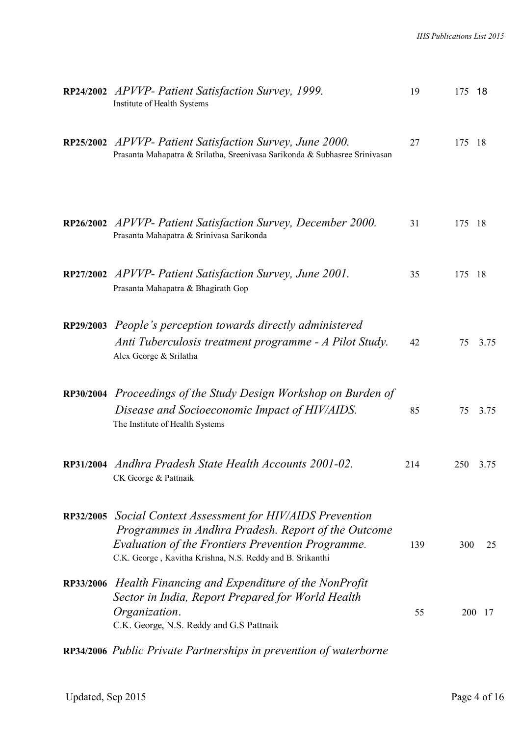|                  | RP24/2002 APVVP- Patient Satisfaction Survey, 1999.<br>Institute of Health Systems                                                                                                                                                | 19  | 175 | - 18 |
|------------------|-----------------------------------------------------------------------------------------------------------------------------------------------------------------------------------------------------------------------------------|-----|-----|------|
|                  | RP25/2002 APVVP- Patient Satisfaction Survey, June 2000.<br>Prasanta Mahapatra & Srilatha, Sreenivasa Sarikonda & Subhasree Srinivasan                                                                                            | 27  | 175 | - 18 |
|                  | RP26/2002 APVVP- Patient Satisfaction Survey, December 2000.<br>Prasanta Mahapatra & Srinivasa Sarikonda                                                                                                                          | 31  | 175 | -18  |
|                  | RP27/2002 APVVP- Patient Satisfaction Survey, June 2001.<br>Prasanta Mahapatra & Bhagirath Gop                                                                                                                                    | 35  | 175 | -18  |
|                  | RP29/2003 People's perception towards directly administered<br>Anti Tuberculosis treatment programme - A Pilot Study.<br>Alex George & Srilatha                                                                                   | 42  | 75  | 3.75 |
|                  | RP30/2004 Proceedings of the Study Design Workshop on Burden of<br>Disease and Socioeconomic Impact of HIV/AIDS.<br>The Institute of Health Systems                                                                               | 85  | 75  | 3.75 |
|                  | RP31/2004 Andhra Pradesh State Health Accounts 2001-02.<br>CK George & Pattnaik                                                                                                                                                   | 214 | 250 | 3.75 |
| <b>RP32/2005</b> | Social Context Assessment for HIV/AIDS Prevention<br>Programmes in Andhra Pradesh. Report of the Outcome<br><b>Evaluation of the Frontiers Prevention Programme.</b><br>C.K. George, Kavitha Krishna, N.S. Reddy and B. Srikanthi | 139 | 300 | 25   |
|                  | RP33/2006 Health Financing and Expenditure of the NonProfit<br>Sector in India, Report Prepared for World Health<br>Organization.<br>C.K. George, N.S. Reddy and G.S Pattnaik                                                     | 55  | 200 | 17   |

**RP34/2006** *Public Private Partnerships in prevention of waterborne*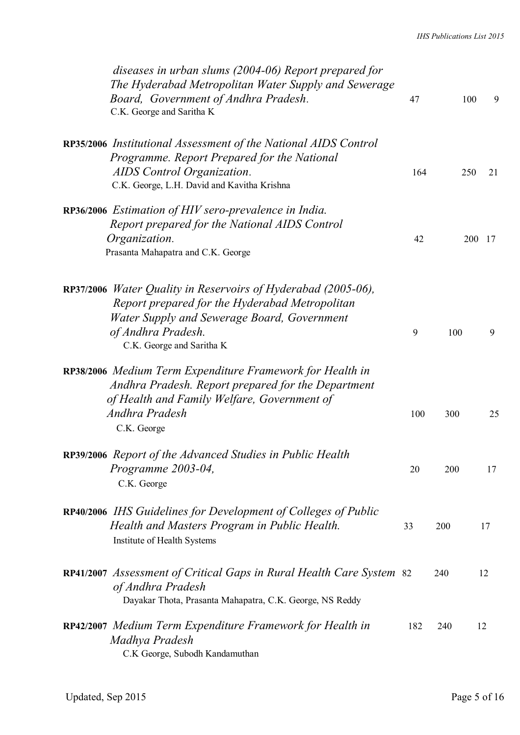| diseases in urban slums (2004-06) Report prepared for<br>The Hyderabad Metropolitan Water Supply and Sewerage<br>Board, Government of Andhra Pradesh.<br>C.K. George and Saritha K                                        | 47  | 100 | 9      |
|---------------------------------------------------------------------------------------------------------------------------------------------------------------------------------------------------------------------------|-----|-----|--------|
| RP35/2006 Institutional Assessment of the National AIDS Control<br>Programme. Report Prepared for the National<br>AIDS Control Organization.<br>C.K. George, L.H. David and Kavitha Krishna                               | 164 | 250 | 21     |
| RP36/2006 Estimation of HIV sero-prevalence in India.<br>Report prepared for the National AIDS Control<br>Organization.<br>Prasanta Mahapatra and C.K. George                                                             | 42  |     | 200 17 |
| RP37/2006 <i>Water Quality in Reservoirs of Hyderabad (2005-06)</i> ,<br>Report prepared for the Hyderabad Metropolitan<br>Water Supply and Sewerage Board, Government<br>of Andhra Pradesh.<br>C.K. George and Saritha K | 9   | 100 | 9      |
| RP38/2006 Medium Term Expenditure Framework for Health in<br>Andhra Pradesh. Report prepared for the Department<br>of Health and Family Welfare, Government of<br>Andhra Pradesh<br>C.K. George                           | 100 | 300 | 25     |
| RP39/2006 Report of the Advanced Studies in Public Health<br>Programme 2003-04,<br>C.K. George                                                                                                                            | 20  | 200 | 17     |
| RP40/2006 IHS Guidelines for Development of Colleges of Public<br>Health and Masters Program in Public Health.<br>Institute of Health Systems                                                                             | 33  | 200 | 17     |
| RP41/2007 Assessment of Critical Gaps in Rural Health Care System 82<br>of Andhra Pradesh<br>Dayakar Thota, Prasanta Mahapatra, C.K. George, NS Reddy                                                                     |     | 240 | 12     |
| RP42/2007 Medium Term Expenditure Framework for Health in<br>Madhya Pradesh<br>C.K George, Subodh Kandamuthan                                                                                                             | 182 | 240 | 12     |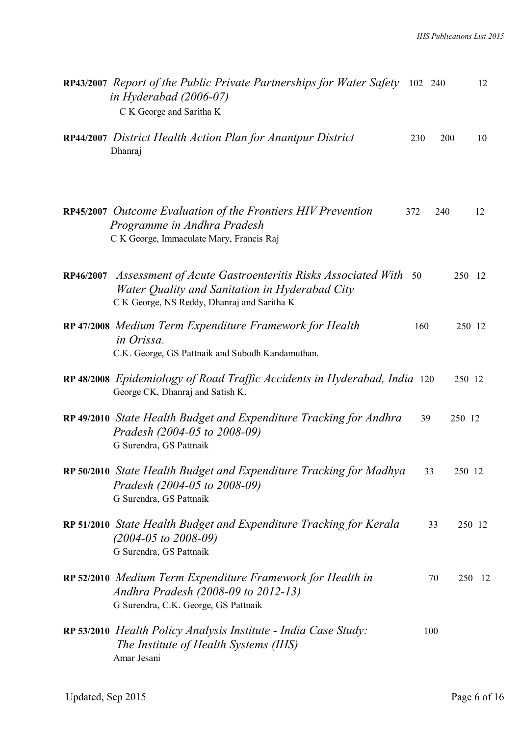| RP43/2007 Report of the Public Private Partnerships for Water Safety 102 240<br>in Hyderabad $(2006-07)$<br>C K George and Saritha K                                    |     |           | 12     |
|-------------------------------------------------------------------------------------------------------------------------------------------------------------------------|-----|-----------|--------|
| RP44/2007 District Health Action Plan for Anantpur District<br>Dhanraj                                                                                                  | 230 | 200       | 10     |
| <b>RP45/2007</b> Outcome Evaluation of the Frontiers HIV Prevention<br>Programme in Andhra Pradesh<br>C K George, Immaculate Mary, Francis Raj                          | 372 | 240       | 12     |
| RP46/2007 Assessment of Acute Gastroenteritis Risks Associated With 50<br>Water Quality and Sanitation in Hyderabad City<br>C K George, NS Reddy, Dhanraj and Saritha K |     |           | 250 12 |
| RP 47/2008 Medium Term Expenditure Framework for Health<br>in Orissa.<br>C.K. George, GS Pattnaik and Subodh Kandamuthan.                                               | 160 |           | 250 12 |
| RP 48/2008 Epidemiology of Road Traffic Accidents in Hyderabad, India 120<br>George CK, Dhanraj and Satish K.                                                           |     |           | 250 12 |
| RP 49/2010 State Health Budget and Expenditure Tracking for Andhra<br>Pradesh (2004-05 to 2008-09)<br>G Surendra, GS Pattnaik                                           | 39  | 250 12    |        |
| RP 50/2010 State Health Budget and Expenditure Tracking for Madhya<br>Pradesh (2004-05 to 2008-09)<br>G Surendra, GS Pattnaik                                           | 33  |           | 250 12 |
| RP 51/2010 State Health Budget and Expenditure Tracking for Kerala<br>$(2004 - 05 \text{ to } 2008 - 09)$<br>G Surendra, GS Pattnaik                                    |     | 33        | 250 12 |
| RP 52/2010 Medium Term Expenditure Framework for Health in<br>Andhra Pradesh (2008-09 to 2012-13)<br>G Surendra, C.K. George, GS Pattnaik                               |     | 70<br>250 | -12    |
| RP 53/2010 Health Policy Analysis Institute - India Case Study:<br>The Institute of Health Systems (IHS)<br>Amar Jesani                                                 | 100 |           |        |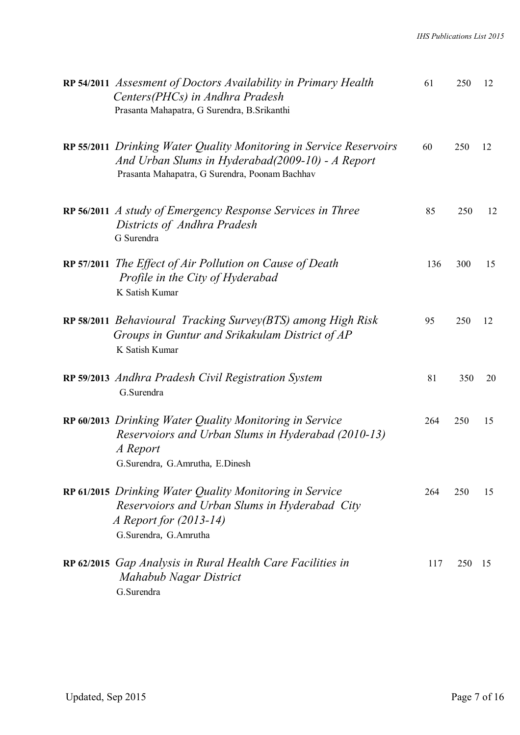| RP 54/2011 Assesment of Doctors Availability in Primary Health<br>Centers(PHCs) in Andhra Pradesh<br>Prasanta Mahapatra, G Surendra, B.Srikanthi                         | 61  | 250 | 12  |
|--------------------------------------------------------------------------------------------------------------------------------------------------------------------------|-----|-----|-----|
| RP 55/2011 Drinking Water Quality Monitoring in Service Reservoirs<br>And Urban Slums in Hyderabad(2009-10) - A Report<br>Prasanta Mahapatra, G Surendra, Poonam Bachhav | 60  | 250 | 12  |
| RP 56/2011 A study of Emergency Response Services in Three<br>Districts of Andhra Pradesh<br>G Surendra                                                                  | 85  | 250 | 12  |
| RP 57/2011 The Effect of Air Pollution on Cause of Death<br>Profile in the City of Hyderabad<br>K Satish Kumar                                                           | 136 | 300 | 15  |
| RP 58/2011 Behavioural Tracking Survey(BTS) among High Risk<br>Groups in Guntur and Srikakulam District of AP<br>K Satish Kumar                                          | 95  | 250 | 12  |
| RP 59/2013 Andhra Pradesh Civil Registration System<br>G.Surendra                                                                                                        | 81  | 350 | 20  |
| RP 60/2013 Drinking Water Quality Monitoring in Service<br>Reservoiors and Urban Slums in Hyderabad (2010-13)<br>A Report<br>G.Surendra, G.Amrutha, E.Dinesh             | 264 | 250 | 15  |
| RP 61/2015 Drinking Water Quality Monitoring in Service<br>Reservoiors and Urban Slums in Hyderabad City<br><i>A Report for (2013-14)</i><br>G.Surendra, G.Amrutha       | 264 | 250 | 15  |
| RP 62/2015 Gap Analysis in Rural Health Care Facilities in<br>Mahabub Nagar District<br>G.Surendra                                                                       | 117 | 250 | -15 |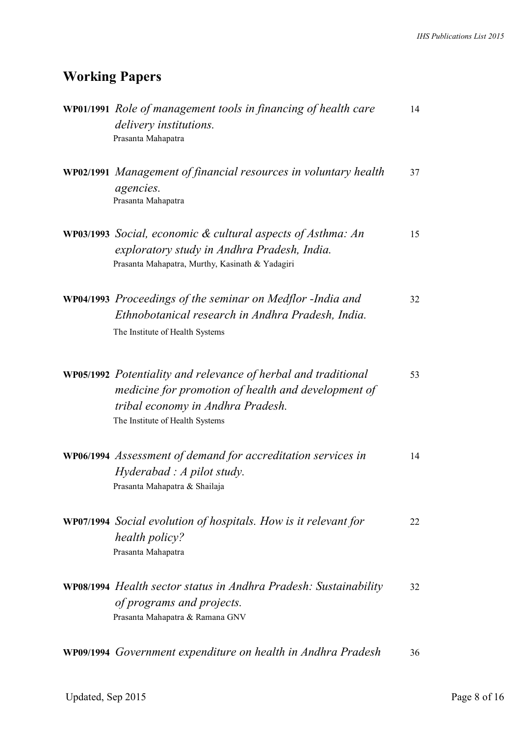## **Working Papers**

| <b>WP01/1991</b> Role of management tools in financing of health care<br>delivery institutions.<br>Prasanta Mahapatra                                                                         | 14 |
|-----------------------------------------------------------------------------------------------------------------------------------------------------------------------------------------------|----|
| <b>WP02/1991</b> Management of financial resources in voluntary health<br>agencies.<br>Prasanta Mahapatra                                                                                     | 37 |
| <b>WP03/1993</b> Social, economic $\&$ cultural aspects of Asthma: An<br>exploratory study in Andhra Pradesh, India.<br>Prasanta Mahapatra, Murthy, Kasinath & Yadagiri                       | 15 |
| WP04/1993 Proceedings of the seminar on Medflor -India and<br>Ethnobotanical research in Andhra Pradesh, India.<br>The Institute of Health Systems                                            | 32 |
| WP05/1992 Potentiality and relevance of herbal and traditional<br>medicine for promotion of health and development of<br>tribal economy in Andhra Pradesh.<br>The Institute of Health Systems | 53 |
| WP06/1994 Assessment of demand for accreditation services in<br>Hyderabad: A pilot study.<br>Prasanta Mahapatra & Shailaja                                                                    | 14 |
| <b>WP07/1994</b> Social evolution of hospitals. How is it relevant for<br>health policy?<br>Prasanta Mahapatra                                                                                | 22 |
| WP08/1994 Health sector status in Andhra Pradesh: Sustainability<br>of programs and projects.<br>Prasanta Mahapatra & Ramana GNV                                                              | 32 |
| WP09/1994 Government expenditure on health in Andhra Pradesh                                                                                                                                  | 36 |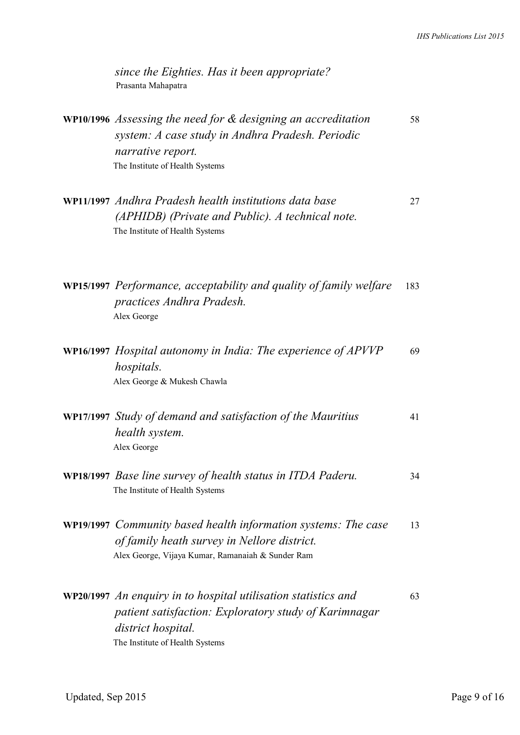| since the Eighties. Has it been appropriate?<br>Prasanta Mahapatra                                                                                                               |    |
|----------------------------------------------------------------------------------------------------------------------------------------------------------------------------------|----|
| WP10/1996 Assessing the need for & designing an accreditation<br>system: A case study in Andhra Pradesh. Periodic<br><i>narrative report.</i>                                    | 58 |
| The Institute of Health Systems<br>WP11/1997 Andhra Pradesh health institutions data base<br>(APHIDB) (Private and Public). A technical note.<br>The Institute of Health Systems | 27 |
|                                                                                                                                                                                  |    |

**WP15/1997** *Performance, acceptability and quality of family welfare* 183 *practices Andhra Pradesh.*  Alex George

| <b>WP16/1997</b> Hospital autonomy in India: The experience of APVVP | 69 |
|----------------------------------------------------------------------|----|
| hospitals.                                                           |    |
| Alex George & Mukesh Chawla                                          |    |

|  | WP17/1997 Study of demand and satisfaction of the Mauritius | 41 |
|--|-------------------------------------------------------------|----|
|  | health system.                                              |    |
|  | Alex George                                                 |    |

- **WP18/1997** *Base line survey of health status in ITDA Paderu.* 34 The Institute of Health Systems
- **WP19/1997** *Community based health information systems: The case* 13 *of family heath survey in Nellore district.* Alex George, Vijaya Kumar, Ramanaiah & Sunder Ram

| WP20/1997 An enquiry in to hospital utilisation statistics and | 63 |
|----------------------------------------------------------------|----|
| patient satisfaction: Exploratory study of Karimnagar          |    |
| district hospital.                                             |    |
| The Institute of Health Systems                                |    |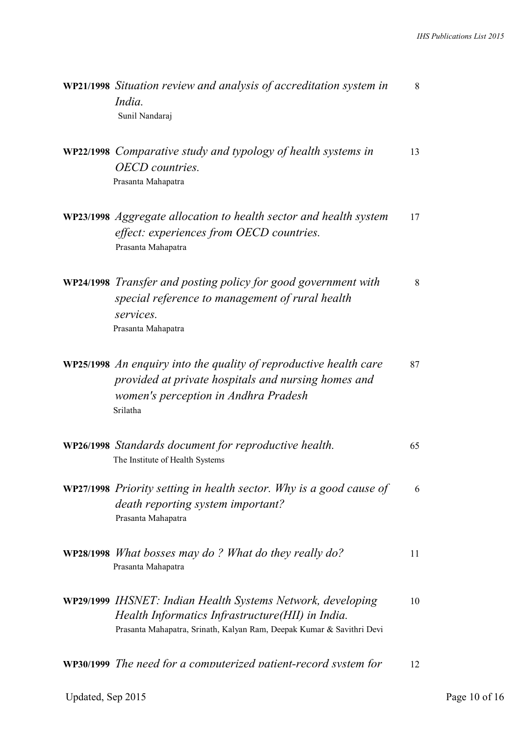| WP21/1998 Situation review and analysis of accreditation system in<br>India.<br>Sunil Nandaraj                                                                                           | 8  |
|------------------------------------------------------------------------------------------------------------------------------------------------------------------------------------------|----|
| WP22/1998 Comparative study and typology of health systems in<br><b>OECD</b> countries.<br>Prasanta Mahapatra                                                                            | 13 |
| WP23/1998 Aggregate allocation to health sector and health system<br>effect: experiences from OECD countries.<br>Prasanta Mahapatra                                                      | 17 |
| WP24/1998 Transfer and posting policy for good government with<br>special reference to management of rural health<br>services.<br>Prasanta Mahapatra                                     | 8  |
| <b>WP25/1998</b> An enquiry into the quality of reproductive health care<br>provided at private hospitals and nursing homes and<br>women's perception in Andhra Pradesh<br>Srilatha      | 87 |
| WP26/1998 Standards document for reproductive health.<br>The Institute of Health Systems                                                                                                 | 65 |
| <b>WP27/1998</b> Priority setting in health sector. Why is a good cause of<br><i>death reporting system important?</i><br>Prasanta Mahapatra                                             | 6  |
| <b>WP28/1998</b> What bosses may do? What do they really do?<br>Prasanta Mahapatra                                                                                                       | 11 |
| WP29/1999 IHSNET: Indian Health Systems Network, developing<br>Health Informatics Infrastructure(HII) in India.<br>Prasanta Mahapatra, Srinath, Kalyan Ram, Deepak Kumar & Savithri Devi | 10 |
| WP30/1999 The need for a computerized patient-record system for                                                                                                                          | 12 |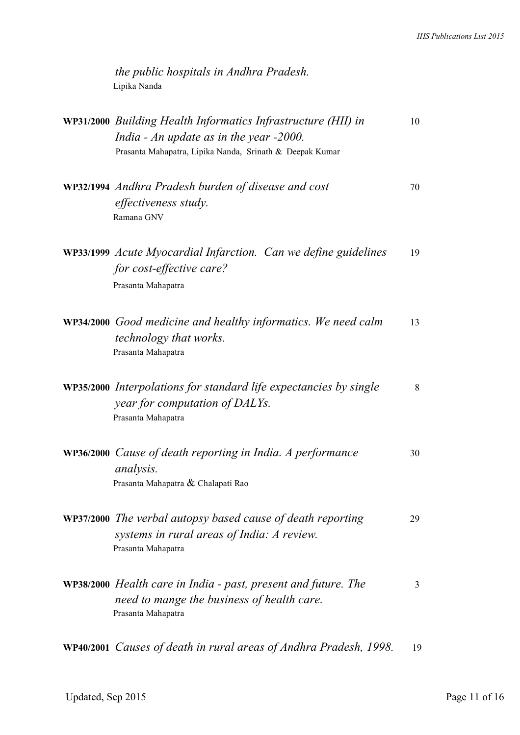*the public hospitals in Andhra Pradesh.* Lipika Nanda

| WP31/2000 Building Health Informatics Infrastructure (HII) in<br>India - An update as in the year $-2000$ .<br>Prasanta Mahapatra, Lipika Nanda, Srinath & Deepak Kumar | 10 |
|-------------------------------------------------------------------------------------------------------------------------------------------------------------------------|----|
| WP32/1994 Andhra Pradesh burden of disease and cost<br><i>effectiveness study.</i><br>Ramana GNV                                                                        | 70 |
| <b>WP33/1999</b> Acute Myocardial Infarction. Can we define guidelines<br>for cost-effective care?<br>Prasanta Mahapatra                                                | 19 |
| <b>WP34/2000</b> Good medicine and healthy informatics. We need calm<br><i>technology that works.</i><br>Prasanta Mahapatra                                             | 13 |
| <b>WP35/2000</b> Interpolations for standard life expectancies by single<br>year for computation of DALYs.<br>Prasanta Mahapatra                                        | 8  |
| <b>WP36/2000</b> Cause of death reporting in India. A performance<br><i>analysis.</i><br>Prasanta Mahapatra & Chalapati Rao                                             | 30 |
| WP37/2000 The verbal autopsy based cause of death reporting<br>systems in rural areas of India: A review.<br>Prasanta Mahapatra                                         | 29 |
| <b>WP38/2000</b> Health care in India - past, present and future. The<br>need to mange the business of health care.<br>Prasanta Mahapatra                               | 3  |
| WP40/2001 Causes of death in rural areas of Andhra Pradesh, 1998.                                                                                                       | 19 |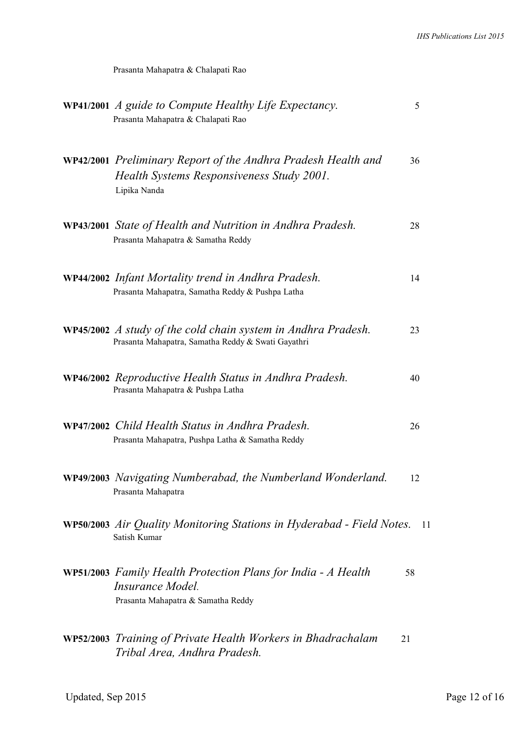Prasanta Mahapatra & Chalapati Rao

| WP41/2001 A guide to Compute Healthy Life Expectancy.<br>Prasanta Mahapatra & Chalapati Rao                                       | 5  |
|-----------------------------------------------------------------------------------------------------------------------------------|----|
| <b>WP42/2001</b> Preliminary Report of the Andhra Pradesh Health and<br>Health Systems Responsiveness Study 2001.<br>Lipika Nanda | 36 |
| <b>WP43/2001</b> State of Health and Nutrition in Andhra Pradesh.<br>Prasanta Mahapatra & Samatha Reddy                           | 28 |
| WP44/2002 Infant Mortality trend in Andhra Pradesh.<br>Prasanta Mahapatra, Samatha Reddy & Pushpa Latha                           | 14 |
| WP45/2002 A study of the cold chain system in Andhra Pradesh.<br>Prasanta Mahapatra, Samatha Reddy & Swati Gayathri               | 23 |
| WP46/2002 Reproductive Health Status in Andhra Pradesh.<br>Prasanta Mahapatra & Pushpa Latha                                      | 40 |
| WP47/2002 Child Health Status in Andhra Pradesh.<br>Prasanta Mahapatra, Pushpa Latha & Samatha Reddy                              | 26 |
| WP49/2003 Navigating Numberabad, the Numberland Wonderland.<br>Prasanta Mahapatra                                                 | 12 |
| WP50/2003 Air Quality Monitoring Stations in Hyderabad - Field Notes.<br>Satish Kumar                                             | 11 |
| <b>WP51/2003</b> Family Health Protection Plans for India - A Health<br>Insurance Model<br>Prasanta Mahapatra & Samatha Reddy     | 58 |
| <b>WP52/2003</b> Training of Private Health Workers in Bhadrachalam<br>Tribal Area, Andhra Pradesh.                               | 21 |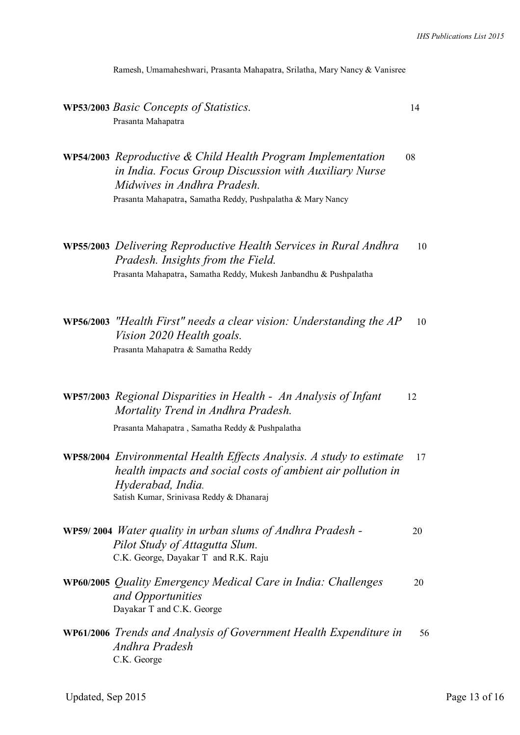Ramesh, Umamaheshwari, Prasanta Mahapatra, Srilatha, Mary Nancy & Vanisree

**WP53/2003** *Basic Concepts of Statistics.* 14 Prasanta Mahapatra

**WP54/2003** *Reproductive & Child Health Program Implementation* 08 *in India. Focus Group Discussion with Auxiliary Nurse Midwives in Andhra Pradesh.*  Prasanta Mahapatra, Samatha Reddy, Pushpalatha & Mary Nancy

- **WP55/2003** *Delivering Reproductive Health Services in Rural Andhra* 10 *Pradesh. Insights from the Field.*  Prasanta Mahapatra, Samatha Reddy, Mukesh Janbandhu & Pushpalatha
- **WP56/2003** *"Health First" needs a clear vision: Understanding the AP* 10 *Vision 2020 Health goals.*  Prasanta Mahapatra & Samatha Reddy

**WP57/2003** *Regional Disparities in Health - An Analysis of Infant* 12 *Mortality Trend in Andhra Pradesh.* 

Prasanta Mahapatra , Samatha Reddy & Pushpalatha

- **WP58/2004** *Environmental Health Effects Analysis. A study to estimate* 17  *health impacts and social costs of ambient air pollution in Hyderabad, India.*  Satish Kumar, Srinivasa Reddy & Dhanaraj
- **WP59/ 2004** *Water quality in urban slums of Andhra Pradesh -* 20  *Pilot Study of Attagutta Slum.* C.K. George, Dayakar T and R.K. Raju
- **WP60/2005** *Quality Emergency Medical Care in India: Challenges* 20  *and Opportunities* Dayakar T and C.K. George
- **WP61/2006** *Trends and Analysis of Government Health Expenditure in* 56  *Andhra Pradesh*  C.K. George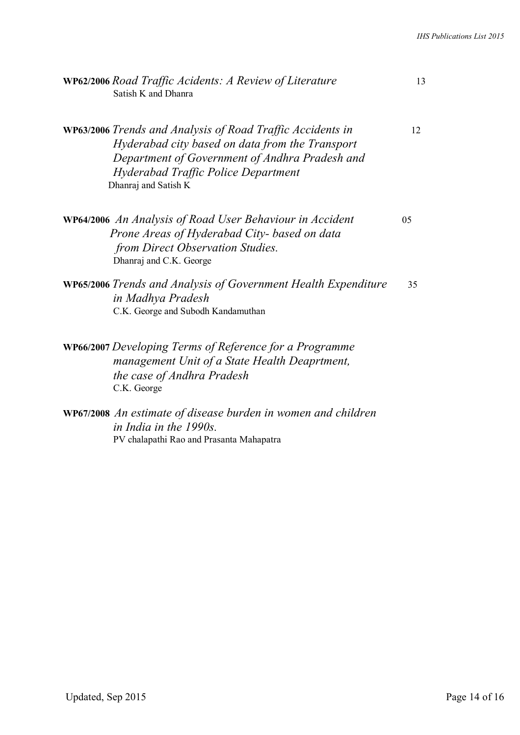| WP62/2006 Road Traffic Acidents: A Review of Literature<br>Satish K and Dhanra                                                                                                                                                        | 13 |
|---------------------------------------------------------------------------------------------------------------------------------------------------------------------------------------------------------------------------------------|----|
| <b>WP63/2006</b> Trends and Analysis of Road Traffic Accidents in<br>Hyderabad city based on data from the Transport<br>Department of Government of Andhra Pradesh and<br>Hyderabad Traffic Police Department<br>Dhanraj and Satish K | 12 |
| <b>WP64/2006</b> An Analysis of Road User Behaviour in Accident<br>Prone Areas of Hyderabad City- based on data<br>from Direct Observation Studies.<br>Dhanraj and C.K. George                                                        | 05 |
| <b>WP65/2006</b> Trends and Analysis of Government Health Expenditure<br>in Madhya Pradesh<br>C.K. George and Subodh Kandamuthan                                                                                                      | 35 |
| <b>WP66/2007</b> Developing Terms of Reference for a Programme<br>management Unit of a State Health Deaprtment,<br>the case of Andhra Pradesh<br>C.K. George                                                                          |    |
| <b>WP67/2008</b> An estimate of disease burden in women and children<br>in India in the 1990s.                                                                                                                                        |    |

PV chalapathi Rao and Prasanta Mahapatra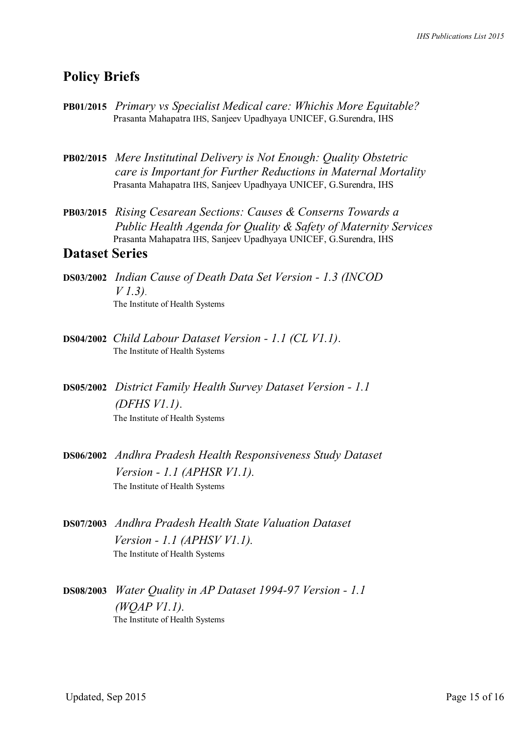### **Policy Briefs**

- **PB01/2015** *Primary vs Specialist Medical care: Whichis More Equitable?* Prasanta Mahapatra IHS, Sanjeev Upadhyaya UNICEF, G.Surendra, IHS
- **PB02/2015** *Mere Institutinal Delivery is Not Enough: Quality Obstetric care is Important for Further Reductions in Maternal Mortality* Prasanta Mahapatra IHS, Sanjeev Upadhyaya UNICEF, G.Surendra, IHS
- **PB03/2015** *Rising Cesarean Sections: Causes & Conserns Towards a Public Health Agenda for Quality & Safety of Maternity Services* Prasanta Mahapatra IHS, Sanjeev Upadhyaya UNICEF, G.Surendra, IHS

#### **Dataset Series**

- **DS03/2002** *Indian Cause of Death Data Set Version 1.3 (INCOD V 1.3)*. The Institute of Health Systems
- **DS04/2002** *Child Labour Dataset Version 1.1 (CL V1.1)*. The Institute of Health Systems
- **DS05/2002** *District Family Health Survey Dataset Version 1.1 (DFHS V1.1)*. The Institute of Health Systems
- **DS06/2002** *Andhra Pradesh Health Responsiveness Study Dataset Version - 1.1 (APHSR V1.1).*  The Institute of Health Systems
- **DS07/2003** *Andhra Pradesh Health State Valuation Dataset Version - 1.1 (APHSV V1.1).*  The Institute of Health Systems
- **DS08/2003** *Water Quality in AP Dataset 1994-97 Version 1.1 (WQAP V1.1).*  The Institute of Health Systems